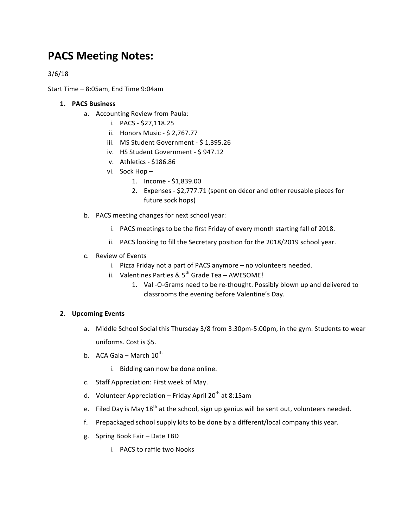## **PACS Meeting Notes:**

3/6/18

Start Time  $-$  8:05am, End Time 9:04am

## **1. PACS Business**

- a. Accounting Review from Paula:
	- i. PACS \$27,118.25
	- ii. Honors Music \$ 2,767.77
	- iii. MS Student Government \$1,395.26
	- iv. HS Student Government \$ 947.12
	- v. Athletics \$186.86
	- vi. Sock Hop -
		- 1. Income \$1,839.00
		- 2. Expenses \$2,777.71 (spent on décor and other reusable pieces for future sock hops)
- b. PACS meeting changes for next school year:
	- i. PACS meetings to be the first Friday of every month starting fall of 2018.
	- ii. PACS looking to fill the Secretary position for the 2018/2019 school year.
- c. Review of Events
	- i. Pizza Friday not a part of PACS anymore no volunteers needed.
	- ii. Valentines Parties &  $5<sup>th</sup>$  Grade Tea AWESOME!
		- 1. Val-O-Grams need to be re-thought. Possibly blown up and delivered to classrooms the evening before Valentine's Day.

## **2. Upcoming Events**

- a. Middle School Social this Thursday 3/8 from 3:30pm-5:00pm, in the gym. Students to wear uniforms. Cost is \$5.
- b. ACA Gala March  $10^{th}$ 
	- i. Bidding can now be done online.
- c. Staff Appreciation: First week of May.
- d. Volunteer Appreciation Friday April 20<sup>th</sup> at 8:15am
- e. Filed Day is May  $18<sup>th</sup>$  at the school, sign up genius will be sent out, volunteers needed.
- f. Prepackaged school supply kits to be done by a different/local company this year.
- g. Spring Book Fair Date TBD
	- i. PACS to raffle two Nooks